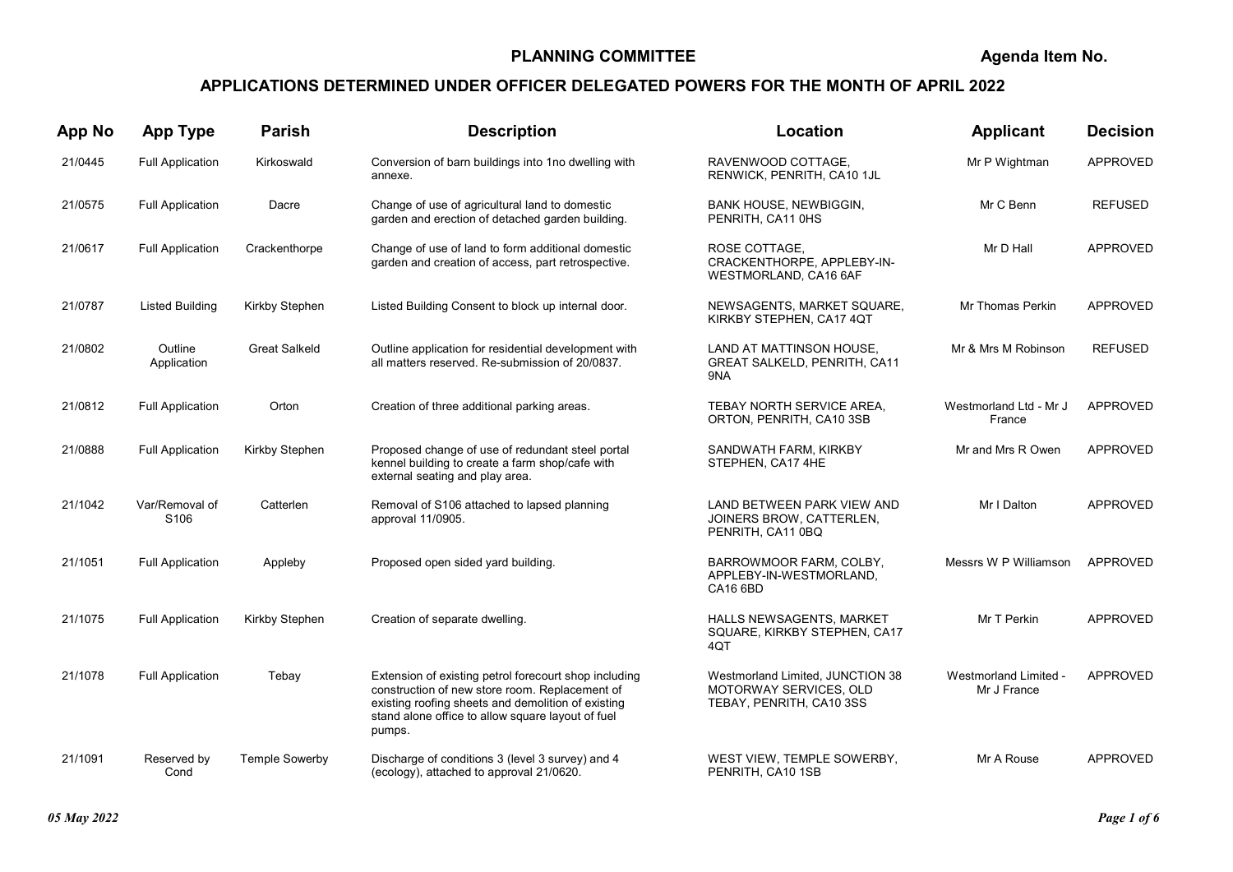## PLANNING COMMITTEE

Agenda Item No.

## APPLICATIONS DETERMINED UNDER OFFICER DELEGATED POWERS FOR THE MONTH OF APRIL 2022

| <b>App No</b> | <b>App Type</b>                    | <b>Parish</b>         | <b>Description</b>                                                                                                                                                                                                           | Location                                                                               | Applicant                            | <b>Decision</b> |
|---------------|------------------------------------|-----------------------|------------------------------------------------------------------------------------------------------------------------------------------------------------------------------------------------------------------------------|----------------------------------------------------------------------------------------|--------------------------------------|-----------------|
| 21/0445       | <b>Full Application</b>            | Kirkoswald            | Conversion of barn buildings into 1no dwelling with<br>annexe.                                                                                                                                                               | RAVENWOOD COTTAGE.<br>RENWICK, PENRITH, CA10 1JL                                       | Mr P Wightman                        | <b>APPROVED</b> |
| 21/0575       | <b>Full Application</b>            | Dacre                 | Change of use of agricultural land to domestic<br>garden and erection of detached garden building.                                                                                                                           | <b>BANK HOUSE, NEWBIGGIN,</b><br>PENRITH, CA11 0HS                                     | Mr C Benn                            | <b>REFUSED</b>  |
| 21/0617       | <b>Full Application</b>            | Crackenthorpe         | Change of use of land to form additional domestic<br>garden and creation of access, part retrospective.                                                                                                                      | ROSE COTTAGE,<br>CRACKENTHORPE, APPLEBY-IN-<br>WESTMORLAND, CA16 6AF                   | Mr D Hall                            | <b>APPROVED</b> |
| 21/0787       | <b>Listed Building</b>             | Kirkby Stephen        | Listed Building Consent to block up internal door.                                                                                                                                                                           | NEWSAGENTS, MARKET SQUARE,<br>KIRKBY STEPHEN, CA17 4QT                                 | Mr Thomas Perkin                     | <b>APPROVED</b> |
| 21/0802       | Outline<br>Application             | <b>Great Salkeld</b>  | Outline application for residential development with<br>all matters reserved. Re-submission of 20/0837.                                                                                                                      | LAND AT MATTINSON HOUSE.<br><b>GREAT SALKELD, PENRITH, CA11</b><br>9NA                 | Mr & Mrs M Robinson                  | <b>REFUSED</b>  |
| 21/0812       | <b>Full Application</b>            | Orton                 | Creation of three additional parking areas.                                                                                                                                                                                  | TEBAY NORTH SERVICE AREA.<br>ORTON, PENRITH, CA10 3SB                                  | Westmorland Ltd - Mr J<br>France     | APPROVED        |
| 21/0888       | <b>Full Application</b>            | Kirkby Stephen        | Proposed change of use of redundant steel portal<br>kennel building to create a farm shop/cafe with<br>external seating and play area.                                                                                       | SANDWATH FARM, KIRKBY<br>STEPHEN, CA17 4HE                                             | Mr and Mrs R Owen                    | <b>APPROVED</b> |
| 21/1042       | Var/Removal of<br>S <sub>106</sub> | Catterlen             | Removal of S106 attached to lapsed planning<br>approval 11/0905.                                                                                                                                                             | LAND BETWEEN PARK VIEW AND<br>JOINERS BROW, CATTERLEN,<br>PENRITH, CA11 0BQ            | Mr I Dalton                          | <b>APPROVED</b> |
| 21/1051       | <b>Full Application</b>            | Appleby               | Proposed open sided yard building.                                                                                                                                                                                           | BARROWMOOR FARM, COLBY,<br>APPLEBY-IN-WESTMORLAND,<br><b>CA16 6BD</b>                  | Messrs W P Williamson                | APPROVED        |
| 21/1075       | <b>Full Application</b>            | Kirkby Stephen        | Creation of separate dwelling.                                                                                                                                                                                               | HALLS NEWSAGENTS, MARKET<br>SQUARE, KIRKBY STEPHEN, CA17<br>4QT                        | Mr T Perkin                          | APPROVED        |
| 21/1078       | <b>Full Application</b>            | Tebay                 | Extension of existing petrol forecourt shop including<br>construction of new store room. Replacement of<br>existing roofing sheets and demolition of existing<br>stand alone office to allow square layout of fuel<br>pumps. | Westmorland Limited, JUNCTION 38<br>MOTORWAY SERVICES, OLD<br>TEBAY, PENRITH, CA10 3SS | Westmorland Limited -<br>Mr J France | APPROVED        |
| 21/1091       | Reserved by<br>Cond                | <b>Temple Sowerby</b> | Discharge of conditions 3 (level 3 survey) and 4<br>(ecology), attached to approval 21/0620.                                                                                                                                 | WEST VIEW, TEMPLE SOWERBY,<br>PENRITH, CA10 1SB                                        | Mr A Rouse                           | <b>APPROVED</b> |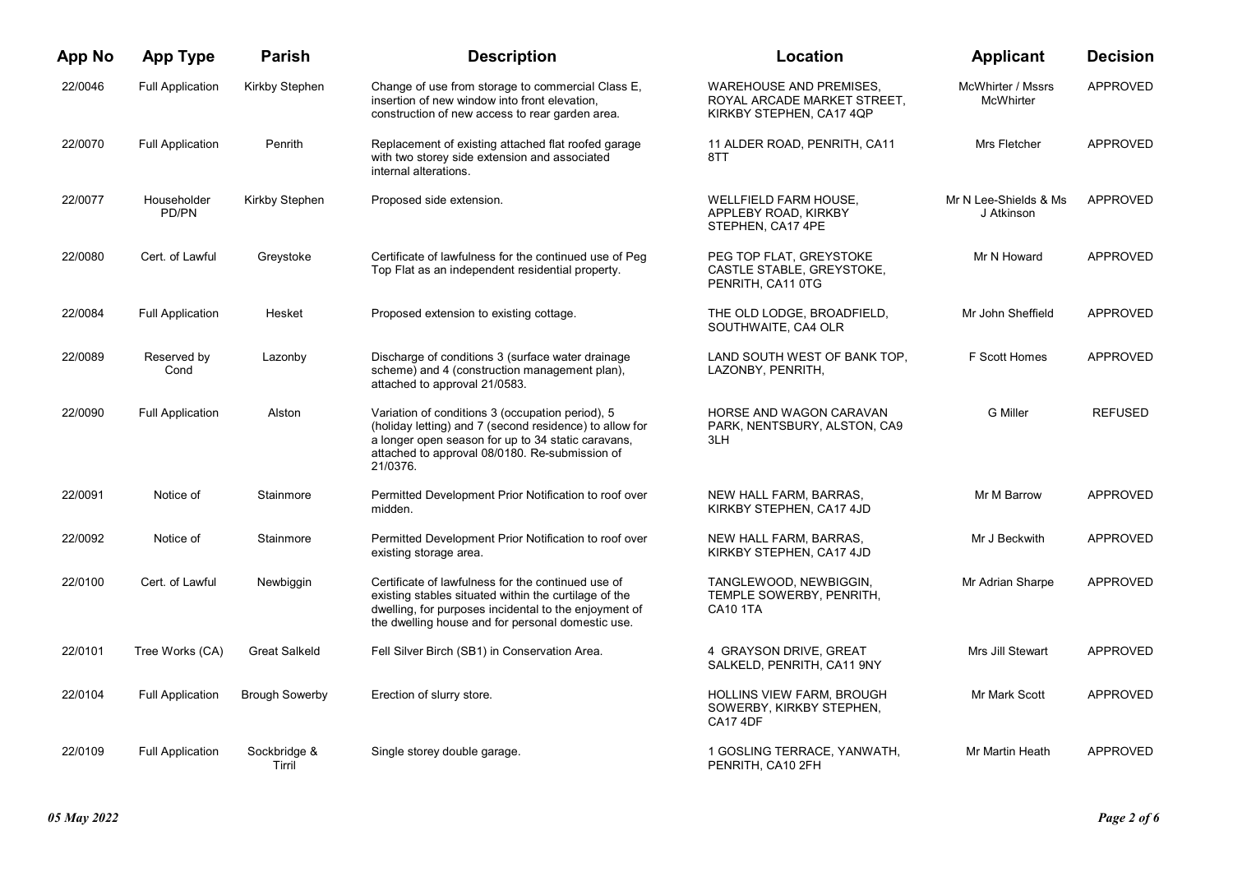| <b>App No</b> | <b>App Type</b>         | <b>Parish</b>          | <b>Description</b>                                                                                                                                                                                                              | Location                                                                                  | <b>Applicant</b>                    | <b>Decision</b> |
|---------------|-------------------------|------------------------|---------------------------------------------------------------------------------------------------------------------------------------------------------------------------------------------------------------------------------|-------------------------------------------------------------------------------------------|-------------------------------------|-----------------|
| 22/0046       | <b>Full Application</b> | Kirkby Stephen         | Change of use from storage to commercial Class E,<br>insertion of new window into front elevation,<br>construction of new access to rear garden area.                                                                           | <b>WAREHOUSE AND PREMISES,</b><br>ROYAL ARCADE MARKET STREET,<br>KIRKBY STEPHEN, CA17 4QP | McWhirter / Mssrs<br>McWhirter      | <b>APPROVED</b> |
| 22/0070       | <b>Full Application</b> | Penrith                | Replacement of existing attached flat roofed garage<br>with two storey side extension and associated<br>internal alterations.                                                                                                   | 11 ALDER ROAD, PENRITH, CA11<br>8TT                                                       | Mrs Fletcher                        | <b>APPROVED</b> |
| 22/0077       | Householder<br>PD/PN    | <b>Kirkby Stephen</b>  | Proposed side extension.                                                                                                                                                                                                        | <b>WELLFIELD FARM HOUSE,</b><br>APPLEBY ROAD, KIRKBY<br>STEPHEN, CA17 4PE                 | Mr N Lee-Shields & Ms<br>J Atkinson | <b>APPROVED</b> |
| 22/0080       | Cert. of Lawful         | Greystoke              | Certificate of lawfulness for the continued use of Peg<br>Top Flat as an independent residential property.                                                                                                                      | PEG TOP FLAT, GREYSTOKE<br>CASTLE STABLE, GREYSTOKE,<br>PENRITH, CA11 0TG                 | Mr N Howard                         | <b>APPROVED</b> |
| 22/0084       | <b>Full Application</b> | Hesket                 | Proposed extension to existing cottage.                                                                                                                                                                                         | THE OLD LODGE, BROADFIELD,<br>SOUTHWAITE, CA4 OLR                                         | Mr John Sheffield                   | <b>APPROVED</b> |
| 22/0089       | Reserved by<br>Cond     | Lazonby                | Discharge of conditions 3 (surface water drainage<br>scheme) and 4 (construction management plan),<br>attached to approval 21/0583.                                                                                             | LAND SOUTH WEST OF BANK TOP.<br>LAZONBY, PENRITH,                                         | F Scott Homes                       | <b>APPROVED</b> |
| 22/0090       | <b>Full Application</b> | Alston                 | Variation of conditions 3 (occupation period), 5<br>(holiday letting) and 7 (second residence) to allow for<br>a longer open season for up to 34 static caravans,<br>attached to approval 08/0180. Re-submission of<br>21/0376. | HORSE AND WAGON CARAVAN<br>PARK, NENTSBURY, ALSTON, CA9<br>3LH                            | <b>G</b> Miller                     | <b>REFUSED</b>  |
| 22/0091       | Notice of               | Stainmore              | Permitted Development Prior Notification to roof over<br>midden.                                                                                                                                                                | NEW HALL FARM, BARRAS,<br>KIRKBY STEPHEN, CA17 4JD                                        | Mr M Barrow                         | <b>APPROVED</b> |
| 22/0092       | Notice of               | Stainmore              | Permitted Development Prior Notification to roof over<br>existing storage area.                                                                                                                                                 | NEW HALL FARM, BARRAS,<br>KIRKBY STEPHEN, CA17 4JD                                        | Mr J Beckwith                       | <b>APPROVED</b> |
| 22/0100       | Cert. of Lawful         | Newbiggin              | Certificate of lawfulness for the continued use of<br>existing stables situated within the curtilage of the<br>dwelling, for purposes incidental to the enjoyment of<br>the dwelling house and for personal domestic use.       | TANGLEWOOD, NEWBIGGIN,<br>TEMPLE SOWERBY, PENRITH,<br><b>CA10 1TA</b>                     | Mr Adrian Sharpe                    | <b>APPROVED</b> |
| 22/0101       | Tree Works (CA)         | <b>Great Salkeld</b>   | Fell Silver Birch (SB1) in Conservation Area.                                                                                                                                                                                   | 4 GRAYSON DRIVE, GREAT<br>SALKELD, PENRITH, CA11 9NY                                      | Mrs Jill Stewart                    | APPROVED        |
| 22/0104       | <b>Full Application</b> | <b>Brough Sowerby</b>  | Erection of slurry store.                                                                                                                                                                                                       | <b>HOLLINS VIEW FARM, BROUGH</b><br>SOWERBY, KIRKBY STEPHEN,<br><b>CA17 4DF</b>           | Mr Mark Scott                       | <b>APPROVED</b> |
| 22/0109       | <b>Full Application</b> | Sockbridge &<br>Tirril | Single storey double garage.                                                                                                                                                                                                    | 1 GOSLING TERRACE, YANWATH,<br>PENRITH, CA10 2FH                                          | Mr Martin Heath                     | APPROVED        |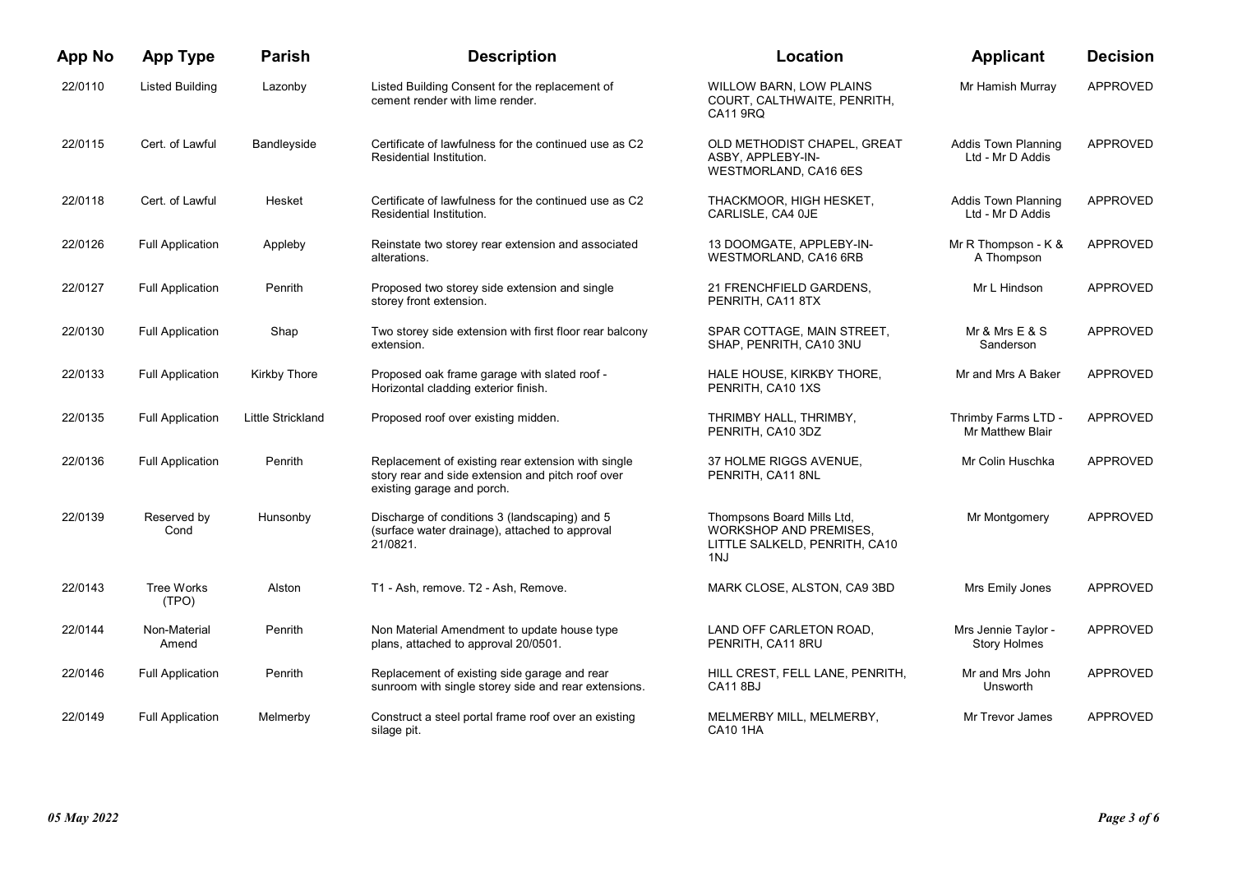| <b>App No</b> | <b>App Type</b>         | <b>Parish</b>            | <b>Description</b>                                                                                                                    | Location                                                                                            | <b>Applicant</b>                               | <b>Decision</b> |
|---------------|-------------------------|--------------------------|---------------------------------------------------------------------------------------------------------------------------------------|-----------------------------------------------------------------------------------------------------|------------------------------------------------|-----------------|
| 22/0110       | Listed Building         | Lazonby                  | Listed Building Consent for the replacement of<br>cement render with lime render.                                                     | <b>WILLOW BARN, LOW PLAINS</b><br>COURT, CALTHWAITE, PENRITH,<br>CA11 9RQ                           | Mr Hamish Murray                               | <b>APPROVED</b> |
| 22/0115       | Cert. of Lawful         | Bandleyside              | Certificate of lawfulness for the continued use as C2<br>Residential Institution.                                                     | OLD METHODIST CHAPEL, GREAT<br>ASBY, APPLEBY-IN-<br><b>WESTMORLAND, CA16 6ES</b>                    | <b>Addis Town Planning</b><br>Ltd - Mr D Addis | <b>APPROVED</b> |
| 22/0118       | Cert. of Lawful         | Hesket                   | Certificate of lawfulness for the continued use as C2<br>Residential Institution.                                                     | THACKMOOR, HIGH HESKET,<br>CARLISLE, CA4 OJE                                                        | <b>Addis Town Planning</b><br>Ltd - Mr D Addis | <b>APPROVED</b> |
| 22/0126       | <b>Full Application</b> | Appleby                  | Reinstate two storey rear extension and associated<br>alterations.                                                                    | 13 DOOMGATE, APPLEBY-IN-<br>WESTMORLAND, CA16 6RB                                                   | Mr R Thompson - K &<br>A Thompson              | <b>APPROVED</b> |
| 22/0127       | <b>Full Application</b> | Penrith                  | Proposed two storey side extension and single<br>storey front extension.                                                              | 21 FRENCHFIELD GARDENS,<br>PENRITH, CA11 8TX                                                        | Mr L Hindson                                   | <b>APPROVED</b> |
| 22/0130       | <b>Full Application</b> | Shap                     | Two storey side extension with first floor rear balcony<br>extension.                                                                 | SPAR COTTAGE, MAIN STREET,<br>SHAP, PENRITH, CA10 3NU                                               | Mr & Mrs $E$ & S<br>Sanderson                  | <b>APPROVED</b> |
| 22/0133       | <b>Full Application</b> | <b>Kirkby Thore</b>      | Proposed oak frame garage with slated roof -<br>Horizontal cladding exterior finish.                                                  | HALE HOUSE, KIRKBY THORE,<br>PENRITH, CA10 1XS                                                      | Mr and Mrs A Baker                             | <b>APPROVED</b> |
| 22/0135       | <b>Full Application</b> | <b>Little Strickland</b> | Proposed roof over existing midden.                                                                                                   | THRIMBY HALL, THRIMBY,<br>PENRITH, CA10 3DZ                                                         | Thrimby Farms LTD -<br>Mr Matthew Blair        | <b>APPROVED</b> |
| 22/0136       | <b>Full Application</b> | Penrith                  | Replacement of existing rear extension with single<br>story rear and side extension and pitch roof over<br>existing garage and porch. | 37 HOLME RIGGS AVENUE,<br>PENRITH, CA11 8NL                                                         | Mr Colin Huschka                               | <b>APPROVED</b> |
| 22/0139       | Reserved by<br>Cond     | Hunsonby                 | Discharge of conditions 3 (landscaping) and 5<br>(surface water drainage), attached to approval<br>21/0821.                           | Thompsons Board Mills Ltd,<br><b>WORKSHOP AND PREMISES.</b><br>LITTLE SALKELD, PENRITH, CA10<br>1NJ | Mr Montgomery                                  | <b>APPROVED</b> |
| 22/0143       | Tree Works<br>(TPO)     | Alston                   | T1 - Ash, remove. T2 - Ash, Remove.                                                                                                   | MARK CLOSE, ALSTON, CA9 3BD                                                                         | Mrs Emily Jones                                | APPROVED        |
| 22/0144       | Non-Material<br>Amend   | Penrith                  | Non Material Amendment to update house type<br>plans, attached to approval 20/0501.                                                   | LAND OFF CARLETON ROAD,<br>PENRITH, CA11 8RU                                                        | Mrs Jennie Taylor -<br><b>Story Holmes</b>     | <b>APPROVED</b> |
| 22/0146       | <b>Full Application</b> | Penrith                  | Replacement of existing side garage and rear<br>sunroom with single storey side and rear extensions.                                  | HILL CREST, FELL LANE, PENRITH,<br><b>CA11 8BJ</b>                                                  | Mr and Mrs John<br>Unsworth                    | <b>APPROVED</b> |
| 22/0149       | <b>Full Application</b> | Melmerby                 | Construct a steel portal frame roof over an existing<br>silage pit.                                                                   | MELMERBY MILL, MELMERBY,<br><b>CA10 1HA</b>                                                         | Mr Trevor James                                | <b>APPROVED</b> |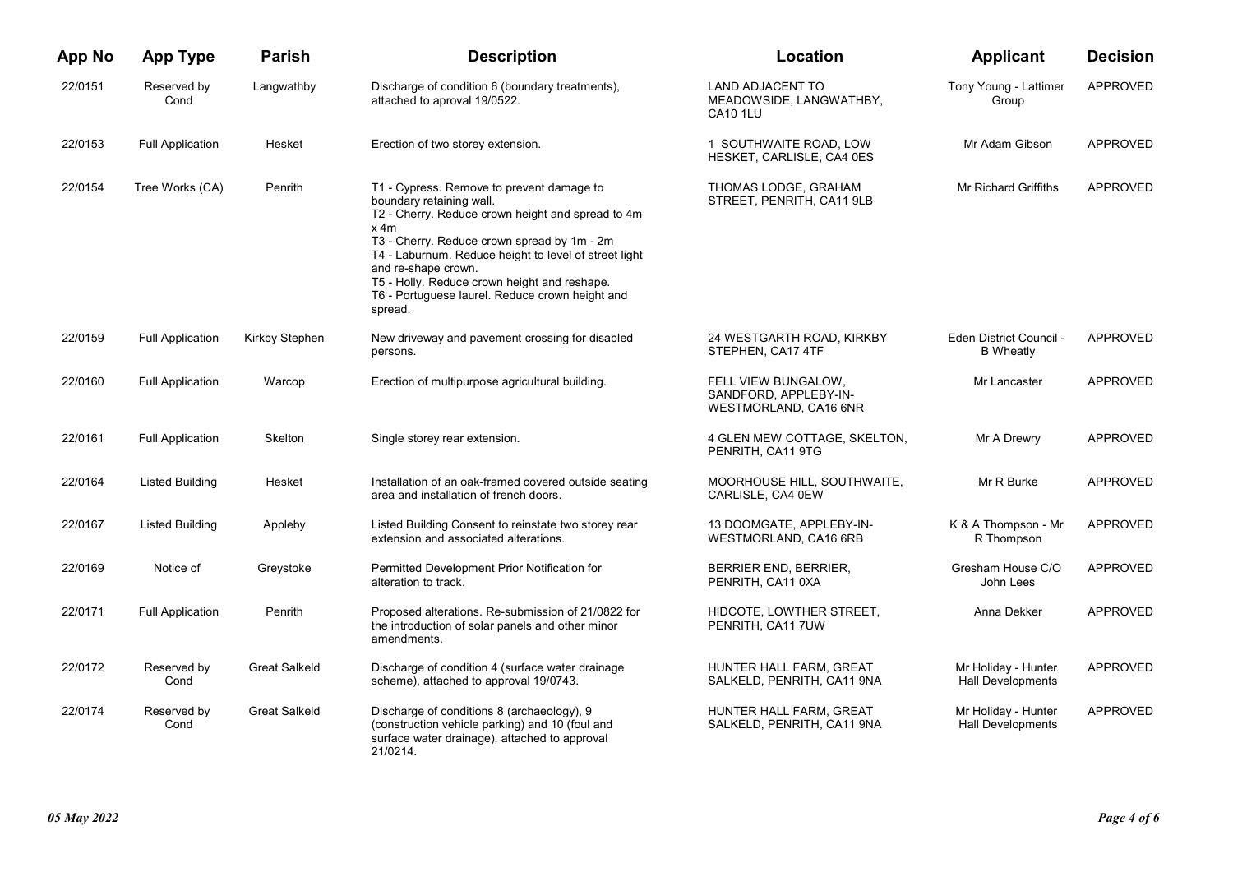| <b>App No</b> | <b>App Type</b>         | <b>Parish</b>        | <b>Description</b>                                                                                                                                                                                                                                                                                                                                                              | Location                                                              | <b>Applicant</b>                            | <b>Decision</b> |
|---------------|-------------------------|----------------------|---------------------------------------------------------------------------------------------------------------------------------------------------------------------------------------------------------------------------------------------------------------------------------------------------------------------------------------------------------------------------------|-----------------------------------------------------------------------|---------------------------------------------|-----------------|
| 22/0151       | Reserved by<br>Cond     | Langwathby           | Discharge of condition 6 (boundary treatments),<br>attached to aproval 19/0522.                                                                                                                                                                                                                                                                                                 | <b>LAND ADJACENT TO</b><br>MEADOWSIDE, LANGWATHBY,<br><b>CA10 1LU</b> | Tony Young - Lattimer<br>Group              | <b>APPROVED</b> |
| 22/0153       | <b>Full Application</b> | Hesket               | Erection of two storey extension.                                                                                                                                                                                                                                                                                                                                               | 1 SOUTHWAITE ROAD, LOW<br>HESKET, CARLISLE, CA4 0ES                   | Mr Adam Gibson                              | APPROVED        |
| 22/0154       | Tree Works (CA)         | Penrith              | T1 - Cypress. Remove to prevent damage to<br>boundary retaining wall.<br>T2 - Cherry. Reduce crown height and spread to 4m<br>x 4m<br>T3 - Cherry. Reduce crown spread by 1m - 2m<br>T4 - Laburnum. Reduce height to level of street light<br>and re-shape crown.<br>T5 - Holly. Reduce crown height and reshape.<br>T6 - Portuguese laurel. Reduce crown height and<br>spread. | THOMAS LODGE, GRAHAM<br>STREET, PENRITH, CA11 9LB                     | Mr Richard Griffiths                        | <b>APPROVED</b> |
| 22/0159       | <b>Full Application</b> | Kirkby Stephen       | New driveway and pavement crossing for disabled<br>persons.                                                                                                                                                                                                                                                                                                                     | 24 WESTGARTH ROAD, KIRKBY<br>STEPHEN, CA17 4TF                        | Eden District Council -<br><b>B</b> Wheatly | APPROVED        |
| 22/0160       | <b>Full Application</b> | Warcop               | Erection of multipurpose agricultural building.                                                                                                                                                                                                                                                                                                                                 | FELL VIEW BUNGALOW,<br>SANDFORD, APPLEBY-IN-<br>WESTMORLAND, CA16 6NR | Mr Lancaster                                | <b>APPROVED</b> |
| 22/0161       | <b>Full Application</b> | Skelton              | Single storey rear extension.                                                                                                                                                                                                                                                                                                                                                   | 4 GLEN MEW COTTAGE, SKELTON,<br>PENRITH, CA11 9TG                     | Mr A Drewry                                 | APPROVED        |
| 22/0164       | Listed Building         | Hesket               | Installation of an oak-framed covered outside seating<br>area and installation of french doors.                                                                                                                                                                                                                                                                                 | MOORHOUSE HILL, SOUTHWAITE,<br>CARLISLE, CA4 0EW                      | Mr R Burke                                  | <b>APPROVED</b> |
| 22/0167       | Listed Building         | Appleby              | Listed Building Consent to reinstate two storey rear<br>extension and associated alterations.                                                                                                                                                                                                                                                                                   | 13 DOOMGATE, APPLEBY-IN-<br>WESTMORLAND, CA16 6RB                     | K & A Thompson - Mr<br>R Thompson           | APPROVED        |
| 22/0169       | Notice of               | Greystoke            | Permitted Development Prior Notification for<br>alteration to track.                                                                                                                                                                                                                                                                                                            | BERRIER END, BERRIER,<br>PENRITH, CA11 0XA                            | Gresham House C/O<br>John Lees              | APPROVED        |
| 22/0171       | <b>Full Application</b> | Penrith              | Proposed alterations. Re-submission of 21/0822 for<br>the introduction of solar panels and other minor<br>amendments.                                                                                                                                                                                                                                                           | HIDCOTE, LOWTHER STREET,<br>PENRITH, CA11 7UW                         | Anna Dekker                                 | <b>APPROVED</b> |
| 22/0172       | Reserved by<br>Cond     | Great Salkeld        | Discharge of condition 4 (surface water drainage)<br>scheme), attached to approval 19/0743.                                                                                                                                                                                                                                                                                     | HUNTER HALL FARM, GREAT<br>SALKELD, PENRITH, CA11 9NA                 | Mr Holiday - Hunter<br>Hall Developments    | <b>APPROVED</b> |
| 22/0174       | Reserved by<br>Cond     | <b>Great Salkeld</b> | Discharge of conditions 8 (archaeology), 9<br>(construction vehicle parking) and 10 (foul and<br>surface water drainage), attached to approval<br>21/0214.                                                                                                                                                                                                                      | HUNTER HALL FARM, GREAT<br>SALKELD, PENRITH, CA11 9NA                 | Mr Holiday - Hunter<br>Hall Developments    | APPROVED        |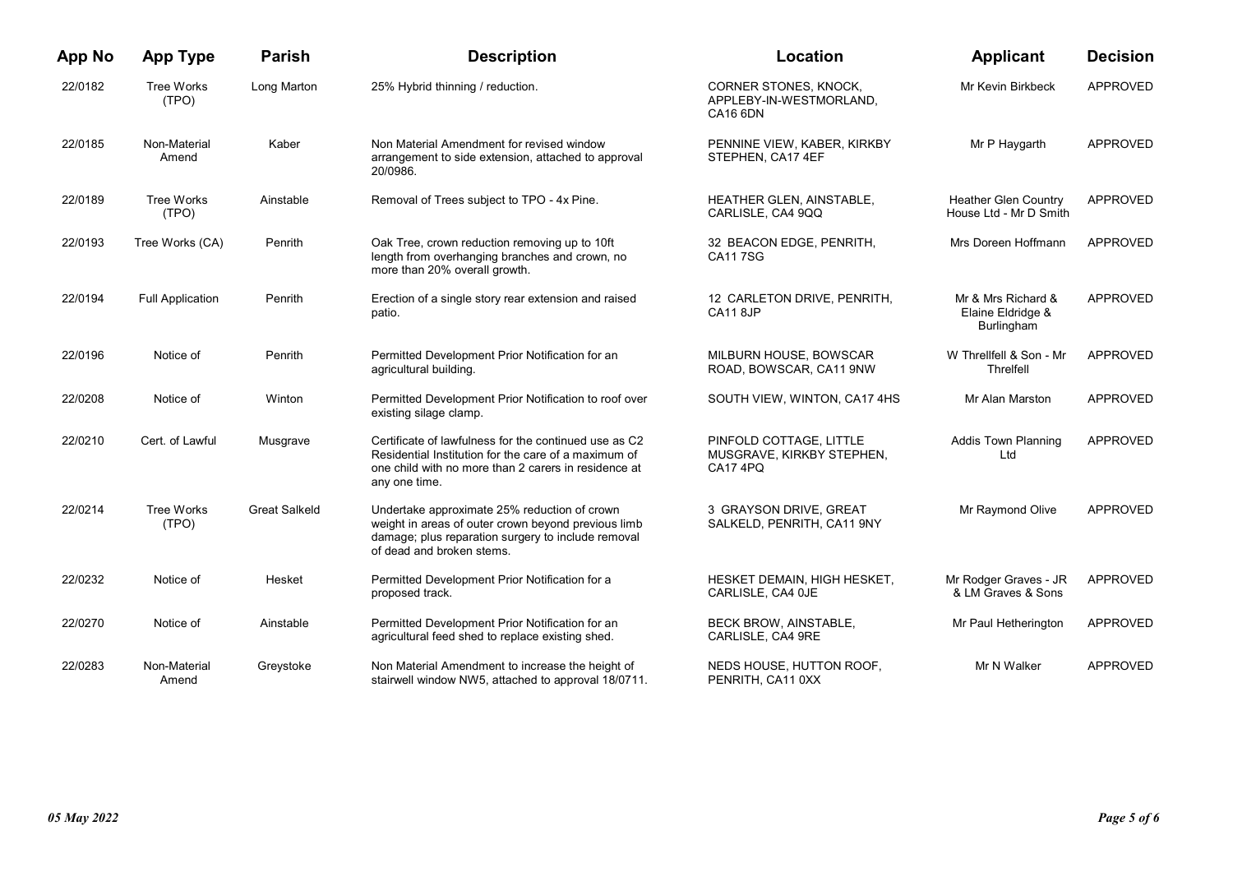| <b>App No</b> | <b>App Type</b>         | <b>Parish</b>        | <b>Description</b>                                                                                                                                                                     | Location                                                                        | <b>Applicant</b>                                      | <b>Decision</b> |
|---------------|-------------------------|----------------------|----------------------------------------------------------------------------------------------------------------------------------------------------------------------------------------|---------------------------------------------------------------------------------|-------------------------------------------------------|-----------------|
| 22/0182       | Tree Works<br>(TPO)     | Long Marton          | 25% Hybrid thinning / reduction.                                                                                                                                                       | <b>CORNER STONES, KNOCK,</b><br>APPLEBY-IN-WESTMORLAND,<br>CA <sub>16</sub> 6DN | Mr Kevin Birkbeck                                     | APPROVED        |
| 22/0185       | Non-Material<br>Amend   | Kaber                | Non Material Amendment for revised window<br>arrangement to side extension, attached to approval<br>20/0986.                                                                           | PENNINE VIEW, KABER, KIRKBY<br>STEPHEN, CA17 4EF                                | Mr P Haygarth                                         | APPROVED        |
| 22/0189       | Tree Works<br>(TPO)     | Ainstable            | Removal of Trees subject to TPO - 4x Pine.                                                                                                                                             | HEATHER GLEN, AINSTABLE,<br>CARLISLE, CA4 9QQ                                   | <b>Heather Glen Country</b><br>House Ltd - Mr D Smith | <b>APPROVED</b> |
| 22/0193       | Tree Works (CA)         | Penrith              | Oak Tree, crown reduction removing up to 10ft<br>length from overhanging branches and crown, no<br>more than 20% overall growth.                                                       | 32 BEACON EDGE, PENRITH,<br><b>CA117SG</b>                                      | Mrs Doreen Hoffmann                                   | APPROVED        |
| 22/0194       | <b>Full Application</b> | Penrith              | Erection of a single story rear extension and raised<br>patio.                                                                                                                         | 12 CARLETON DRIVE, PENRITH,<br>CA11 8JP                                         | Mr & Mrs Richard &<br>Elaine Eldridge &<br>Burlingham | APPROVED        |
| 22/0196       | Notice of               | Penrith              | Permitted Development Prior Notification for an<br>agricultural building.                                                                                                              | MILBURN HOUSE, BOWSCAR<br>ROAD, BOWSCAR, CA11 9NW                               | W Threllfell & Son - Mr<br>Threlfell                  | APPROVED        |
| 22/0208       | Notice of               | Winton               | Permitted Development Prior Notification to roof over<br>existing silage clamp.                                                                                                        | SOUTH VIEW, WINTON, CA17 4HS                                                    | Mr Alan Marston                                       | APPROVED        |
| 22/0210       | Cert. of Lawful         | Musgrave             | Certificate of lawfulness for the continued use as C2<br>Residential Institution for the care of a maximum of<br>one child with no more than 2 carers in residence at<br>any one time. | PINFOLD COTTAGE, LITTLE<br>MUSGRAVE, KIRKBY STEPHEN,<br>CA17 4PQ                | <b>Addis Town Planning</b><br>Ltd                     | APPROVED        |
| 22/0214       | Tree Works<br>(TPO)     | <b>Great Salkeld</b> | Undertake approximate 25% reduction of crown<br>weight in areas of outer crown beyond previous limb<br>damage; plus reparation surgery to include removal<br>of dead and broken stems. | 3 GRAYSON DRIVE, GREAT<br>SALKELD, PENRITH, CA11 9NY                            | Mr Raymond Olive                                      | APPROVED        |
| 22/0232       | Notice of               | Hesket               | Permitted Development Prior Notification for a<br>proposed track.                                                                                                                      | HESKET DEMAIN, HIGH HESKET,<br>CARLISLE, CA4 OJE                                | Mr Rodger Graves - JR<br>& LM Graves & Sons           | APPROVED        |
| 22/0270       | Notice of               | Ainstable            | Permitted Development Prior Notification for an<br>agricultural feed shed to replace existing shed.                                                                                    | <b>BECK BROW, AINSTABLE,</b><br>CARLISLE, CA4 9RE                               | Mr Paul Hetherington                                  | APPROVED        |
| 22/0283       | Non-Material<br>Amend   | Greystoke            | Non Material Amendment to increase the height of<br>stairwell window NW5, attached to approval 18/0711.                                                                                | NEDS HOUSE, HUTTON ROOF,<br>PENRITH, CA11 0XX                                   | Mr N Walker                                           | <b>APPROVED</b> |